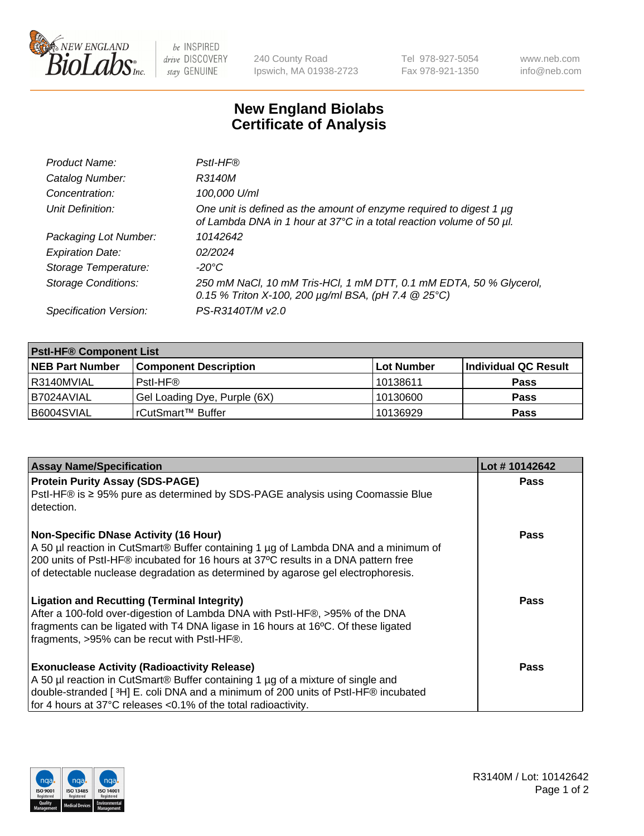

be INSPIRED drive DISCOVERY stay GENUINE

240 County Road Ipswich, MA 01938-2723 Tel 978-927-5054 Fax 978-921-1350 www.neb.com info@neb.com

## **New England Biolabs Certificate of Analysis**

| Product Name:              | Pstl-HF®                                                                                                                                             |
|----------------------------|------------------------------------------------------------------------------------------------------------------------------------------------------|
| Catalog Number:            | R3140M                                                                                                                                               |
| Concentration:             | 100,000 U/ml                                                                                                                                         |
| Unit Definition:           | One unit is defined as the amount of enzyme required to digest 1 µg<br>of Lambda DNA in 1 hour at 37°C in a total reaction volume of 50 µl.          |
| Packaging Lot Number:      | 10142642                                                                                                                                             |
| <b>Expiration Date:</b>    | 02/2024                                                                                                                                              |
| Storage Temperature:       | $-20^{\circ}$ C                                                                                                                                      |
| <b>Storage Conditions:</b> | 250 mM NaCl, 10 mM Tris-HCl, 1 mM DTT, 0.1 mM EDTA, 50 % Glycerol,<br>0.15 % Triton X-100, 200 $\mu$ g/ml BSA, (pH 7.4 $\textcircled{25}^{\circ}$ C) |
| Specification Version:     | PS-R3140T/M v2.0                                                                                                                                     |

| <b>PstI-HF® Component List</b> |                              |            |                      |  |
|--------------------------------|------------------------------|------------|----------------------|--|
| <b>NEB Part Number</b>         | <b>Component Description</b> | Lot Number | Individual QC Result |  |
| I R3140MVIAL                   | Pstl-HF®                     | 10138611   | <b>Pass</b>          |  |
| I B7024AVIAL                   | Gel Loading Dye, Purple (6X) | 10130600   | <b>Pass</b>          |  |
| B6004SVIAL                     | rCutSmart™ Buffer            | 10136929   | <b>Pass</b>          |  |

| <b>Assay Name/Specification</b>                                                              | Lot #10142642 |
|----------------------------------------------------------------------------------------------|---------------|
| <b>Protein Purity Assay (SDS-PAGE)</b>                                                       | <b>Pass</b>   |
| PstI-HF® is ≥ 95% pure as determined by SDS-PAGE analysis using Coomassie Blue<br>detection. |               |
| <b>Non-Specific DNase Activity (16 Hour)</b>                                                 | Pass          |
| A 50 µl reaction in CutSmart® Buffer containing 1 µg of Lambda DNA and a minimum of          |               |
| 200 units of Pstl-HF® incubated for 16 hours at 37°C results in a DNA pattern free           |               |
| of detectable nuclease degradation as determined by agarose gel electrophoresis.             |               |
| <b>Ligation and Recutting (Terminal Integrity)</b>                                           | Pass          |
| After a 100-fold over-digestion of Lambda DNA with PstI-HF®, >95% of the DNA                 |               |
| fragments can be ligated with T4 DNA ligase in 16 hours at 16°C. Of these ligated            |               |
| fragments, >95% can be recut with Pstl-HF®.                                                  |               |
| <b>Exonuclease Activity (Radioactivity Release)</b>                                          | <b>Pass</b>   |
| A 50 µl reaction in CutSmart® Buffer containing 1 µg of a mixture of single and              |               |
| double-stranded [3H] E. coli DNA and a minimum of 200 units of PstI-HF® incubated            |               |
| for 4 hours at 37°C releases <0.1% of the total radioactivity.                               |               |